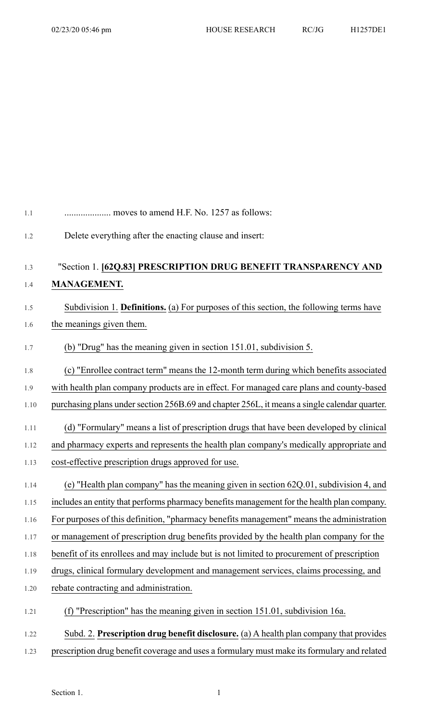| 1.2  | Delete everything after the enacting clause and insert:                                      |
|------|----------------------------------------------------------------------------------------------|
| 1.3  | "Section 1. [62Q.83] PRESCRIPTION DRUG BENEFIT TRANSPARENCY AND                              |
| 1.4  | <b>MANAGEMENT.</b>                                                                           |
| 1.5  | Subdivision 1. Definitions. (a) For purposes of this section, the following terms have       |
| 1.6  | the meanings given them.                                                                     |
| 1.7  | (b) "Drug" has the meaning given in section 151.01, subdivision 5.                           |
| 1.8  | (c) "Enrollee contract term" means the 12-month term during which benefits associated        |
| 1.9  | with health plan company products are in effect. For managed care plans and county-based     |
| 1.10 | purchasing plans under section 256B.69 and chapter 256L, it means a single calendar quarter. |
| 1.11 | (d) "Formulary" means a list of prescription drugs that have been developed by clinical      |
| 1.12 | and pharmacy experts and represents the health plan company's medically appropriate and      |
| 1.13 | cost-effective prescription drugs approved for use.                                          |
| 1.14 | (e) "Health plan company" has the meaning given in section 62Q.01, subdivision 4, and        |
| 1.15 | includes an entity that performs pharmacy benefits management for the health plan company.   |
| 1.16 | For purposes of this definition, "pharmacy benefits management" means the administration     |
| 1.17 | or management of prescription drug benefits provided by the health plan company for the      |
| 1.18 | benefit of its enrollees and may include but is not limited to procurement of prescription   |
| 1.19 | drugs, clinical formulary development and management services, claims processing, and        |
| 1.20 | rebate contracting and administration.                                                       |
| 1.21 | (f) "Prescription" has the meaning given in section 151.01, subdivision 16a.                 |
| 1.22 | Subd. 2. Prescription drug benefit disclosure. (a) A health plan company that provides       |
| 1.23 | prescription drug benefit coverage and uses a formulary must make its formulary and related  |

1.1 .................... moves to amend H.F. No. 1257 as follows: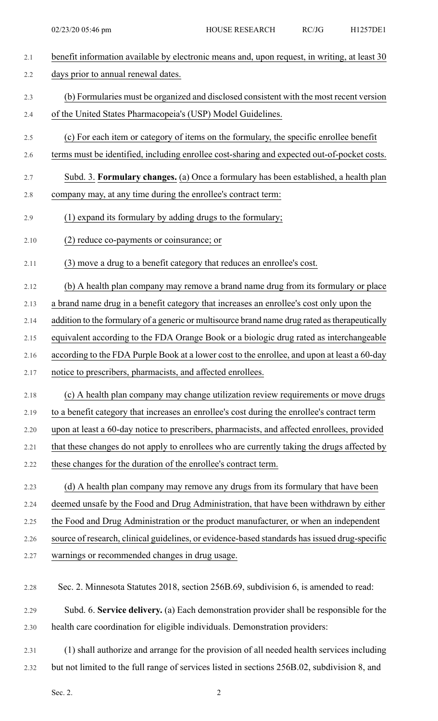| 2.1  | benefit information available by electronic means and, upon request, in writing, at least 30   |
|------|------------------------------------------------------------------------------------------------|
| 2.2  | days prior to annual renewal dates.                                                            |
| 2.3  | (b) Formularies must be organized and disclosed consistent with the most recent version        |
| 2.4  | of the United States Pharmacopeia's (USP) Model Guidelines.                                    |
| 2.5  | (c) For each item or category of items on the formulary, the specific enrollee benefit         |
| 2.6  | terms must be identified, including enrollee cost-sharing and expected out-of-pocket costs.    |
| 2.7  | Subd. 3. Formulary changes. (a) Once a formulary has been established, a health plan           |
| 2.8  | company may, at any time during the enrollee's contract term:                                  |
| 2.9  | (1) expand its formulary by adding drugs to the formulary;                                     |
| 2.10 | (2) reduce co-payments or coinsurance; or                                                      |
| 2.11 | (3) move a drug to a benefit category that reduces an enrollee's cost.                         |
| 2.12 | (b) A health plan company may remove a brand name drug from its formulary or place             |
| 2.13 | a brand name drug in a benefit category that increases an enrollee's cost only upon the        |
| 2.14 | addition to the formulary of a generic or multisource brand name drug rated as therapeutically |
| 2.15 | equivalent according to the FDA Orange Book or a biologic drug rated as interchangeable        |
| 2.16 | according to the FDA Purple Book at a lower cost to the enrollee, and upon at least a 60-day   |
|      |                                                                                                |
| 2.17 | notice to prescribers, pharmacists, and affected enrollees.                                    |
| 2.18 | (c) A health plan company may change utilization review requirements or move drugs             |
| 2.19 | to a benefit category that increases an enrollee's cost during the enrollee's contract term    |
| 2.20 | upon at least a 60-day notice to prescribers, pharmacists, and affected enrollees, provided    |
| 2.21 | that these changes do not apply to enrollees who are currently taking the drugs affected by    |
| 2.22 | these changes for the duration of the enrollee's contract term.                                |
| 2.23 | (d) A health plan company may remove any drugs from its formulary that have been               |
| 2.24 | deemed unsafe by the Food and Drug Administration, that have been withdrawn by either          |
| 2.25 | the Food and Drug Administration or the product manufacturer, or when an independent           |
| 2.26 | source of research, clinical guidelines, or evidence-based standards has issued drug-specific  |
| 2.27 | warnings or recommended changes in drug usage.                                                 |
| 2.28 | Sec. 2. Minnesota Statutes 2018, section 256B.69, subdivision 6, is amended to read:           |
| 2.29 | Subd. 6. Service delivery. (a) Each demonstration provider shall be responsible for the        |
| 2.30 | health care coordination for eligible individuals. Demonstration providers:                    |
| 2.31 | (1) shall authorize and arrange for the provision of all needed health services including      |